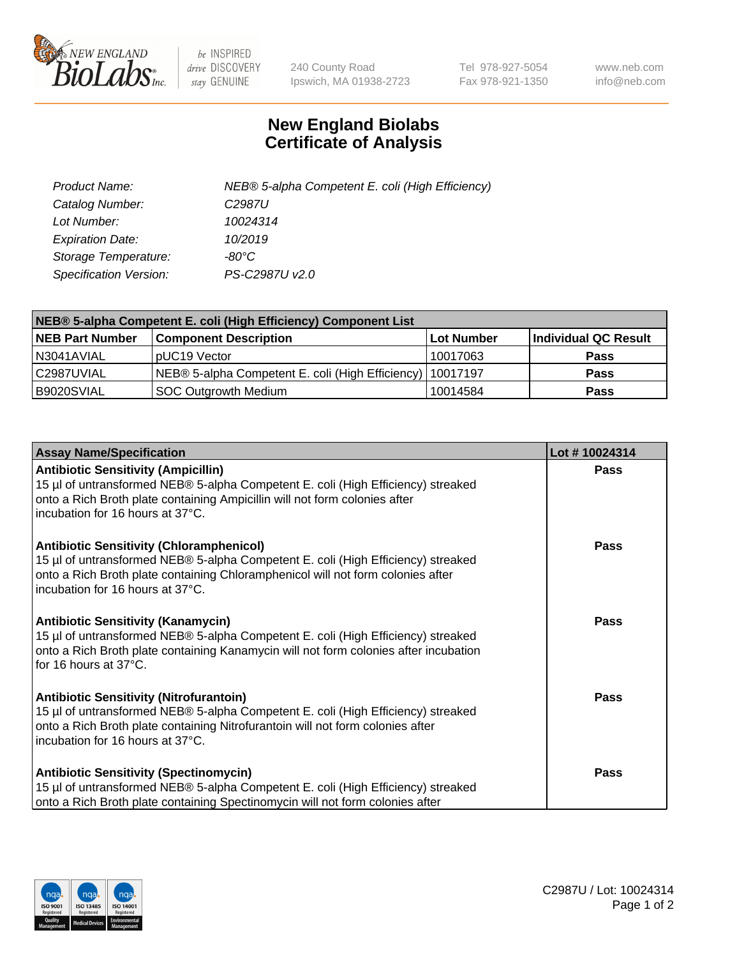

 $be$  INSPIRED drive DISCOVERY stay GENUINE

240 County Road Ipswich, MA 01938-2723 Tel 978-927-5054 Fax 978-921-1350 www.neb.com info@neb.com

## **New England Biolabs Certificate of Analysis**

| Product Name:                 | NEB® 5-alpha Competent E. coli (High Efficiency) |
|-------------------------------|--------------------------------------------------|
| Catalog Number:               | C <sub>2987</sub> U                              |
| Lot Number:                   | 10024314                                         |
| <b>Expiration Date:</b>       | 10/2019                                          |
| Storage Temperature:          | -80°C                                            |
| <b>Specification Version:</b> | PS-C2987U v2.0                                   |

| NEB® 5-alpha Competent E. coli (High Efficiency) Component List |                                                             |            |                      |  |
|-----------------------------------------------------------------|-------------------------------------------------------------|------------|----------------------|--|
| <b>NEB Part Number</b>                                          | <b>Component Description</b>                                | Lot Number | Individual QC Result |  |
| N3041AVIAL                                                      | pUC19 Vector                                                | 10017063   | <b>Pass</b>          |  |
| C2987UVIAL                                                      | NEB® 5-alpha Competent E. coli (High Efficiency)   10017197 |            | <b>Pass</b>          |  |
| B9020SVIAL                                                      | SOC Outgrowth Medium                                        | 10014584   | <b>Pass</b>          |  |

| <b>Assay Name/Specification</b>                                                                                                                                                                                                                            | Lot #10024314 |
|------------------------------------------------------------------------------------------------------------------------------------------------------------------------------------------------------------------------------------------------------------|---------------|
| <b>Antibiotic Sensitivity (Ampicillin)</b><br>15 µl of untransformed NEB® 5-alpha Competent E. coli (High Efficiency) streaked<br>onto a Rich Broth plate containing Ampicillin will not form colonies after<br>incubation for 16 hours at 37°C.           | <b>Pass</b>   |
| <b>Antibiotic Sensitivity (Chloramphenicol)</b><br>15 µl of untransformed NEB® 5-alpha Competent E. coli (High Efficiency) streaked<br>onto a Rich Broth plate containing Chloramphenicol will not form colonies after<br>incubation for 16 hours at 37°C. | Pass          |
| Antibiotic Sensitivity (Kanamycin)<br>15 µl of untransformed NEB® 5-alpha Competent E. coli (High Efficiency) streaked<br>onto a Rich Broth plate containing Kanamycin will not form colonies after incubation<br>for 16 hours at 37°C.                    | Pass          |
| <b>Antibiotic Sensitivity (Nitrofurantoin)</b><br>15 µl of untransformed NEB® 5-alpha Competent E. coli (High Efficiency) streaked<br>onto a Rich Broth plate containing Nitrofurantoin will not form colonies after<br>incubation for 16 hours at 37°C.   | <b>Pass</b>   |
| <b>Antibiotic Sensitivity (Spectinomycin)</b><br>15 µl of untransformed NEB® 5-alpha Competent E. coli (High Efficiency) streaked<br>onto a Rich Broth plate containing Spectinomycin will not form colonies after                                         | Pass          |